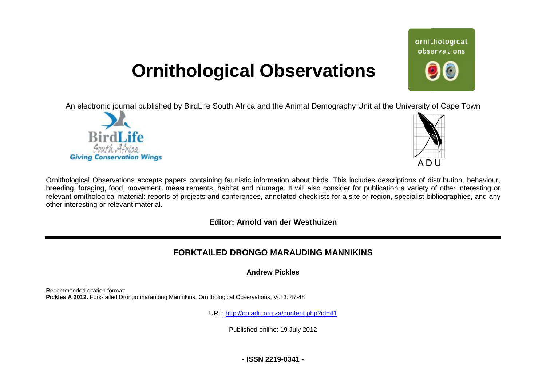# **Ornithological Observations**

An electronic journal published by BirdLife South Africa and the Animal Demography Unit at the University of Cape Town





Ornithological Observations accepts papers containing faunistic information about birds. This includes descriptions of distribution, behaviour, Ornithological Observations accepts papers containing faunistic information about birds. This includes descriptions of distribution, behaviour,<br>breeding, foraging, food, movement, measurements, habitat and plumage. It will relevant ornithological material: reports of projects and conferences, annotated checklists for a site or region, specialist bibliographies, and any other interesting or relevant material.

# **Editor: Arnold van der Westhuizen**

# **FORKTAILED DRONGO MA MARAUDING MANNIKINS**

**Andrew Pickles** 

Recommended citation format: Pickles A 2012. Fork-tailed Drongo marauding Mannikins. Ornithological Observations, Vol 3: 47-48

URL: <http://oo.adu.org.za/content.php?id=41>

Published online: 19 July 2012

**- ISSN 2219-0341 -** 

# ornithological observations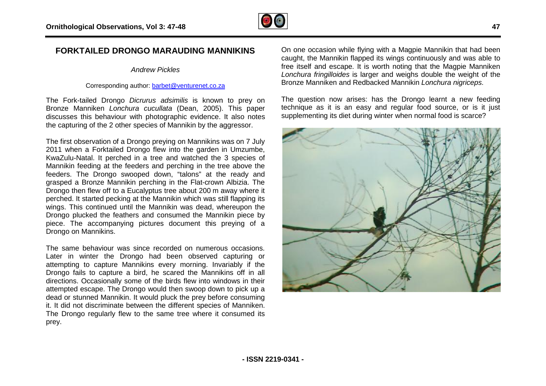

## **FORKTAILED DRONGO MARAUDING MANNIKINS**

#### *Andrew Pickles*

#### Corresponding author: [barbet@venturenet.co.za](mailto:barbet@venturenet.co.za)

The Fork-tailed Drongo *Dicrurus adsimilis* is known to prey on Bronze Manniken *Lonchura cucullata* (Dean, 2005). This paper discusses this behaviour with photographic evidence. It also notes the capturing of the 2 other species of Mannikin by the aggressor.

The first observation of a Drongo preying on Mannikins was on 7 July 2011 when a Forktailed Drongo flew into the garden in Umzumbe, KwaZulu-Natal. It perched in a tree and watched the 3 species of Mannikin feeding at the feeders and perching in the tree above the feeders. The Drongo swooped down, "talons" at the ready and grasped a Bronze Mannikin perching in the Flat-crown Albizia. The Drongo then flew off to a Eucalyptus tree about 200 m away where it perched. It started pecking at the Mannikin which was still flapping its wings. This continued until the Mannikin was dead, whereupon the Drongo plucked the feathers and consumed the Mannikin piece by piece. The accompanying pictures document this preying of a Drongo on Mannikins. ch was still flapping its<br>dead, whereupon the<br>the Mannikin piece by<br>int this preying of a<br>numerous occasions.

The same behaviour was since recorded on numerous occasions Later in winter the Drongo had been observed capturing or attempting to capture Mannikins every morning. Invariably if the Drongo fails to capture a bird, he scared the Mannikins off in all directions. Occasionally some of the birds flew into windows in their attempted escape. The Drongo would then swoop down to pick up a dead or stunned Mannikin. It would pluck the prey before consuming it. It did not discriminate between the different species of Manniken. The Drongo regularly flew to the same tree where it c consumed its prey.

On one occasion while flying with a Magpie Mannikin that had been caught, the Mannikin flapped its wings continuously and was able to free itself and escape. It is worth noting that the Magpie Manniken *Lonchura fringilloides* is larger and weighs double the weight of the Bronze Manniken and Redbacked Mannikin *Lonchura nigriceps* . e flying with a Magpie Mannikin that had been<br>'lapped its wings continuously and was able to<br>. It is worth noting that the Magpie Manniken

The question now arises: has the Drongo learnt a new feeding technique as it is an easy and regular food source, or is it just supplementing its diet during winter when normal food is scarce?